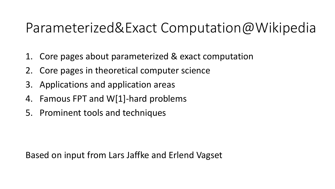## Parameterized&Exact Computation@Wikipedia

- 1. Core pages about parameterized & exact computation
- 2. Core pages in theoretical computer science
- 3. Applications and application areas
- 4. Famous FPT and W[1]-hard problems
- 5. Prominent tools and techniques

Based on input from Lars Jaffke and Erlend Vagset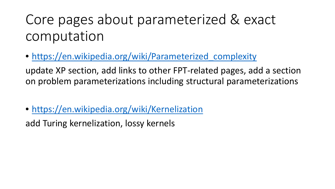# Core pages about parameterized & exact computation

• https://en.wikipedia.org/wiki/Parameterized complexity

update XP section, add links to other FPT-related pages, add a section on problem parameterizations including structural parameterizations

• <https://en.wikipedia.org/wiki/Kernelization>

add Turing kernelization, lossy kernels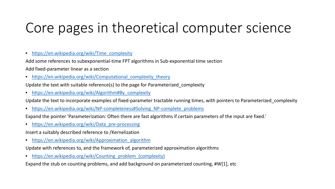## Core pages in theoretical computer science

• [https://en.wikipedia.org/wiki/Time\\_complexity](https://en.wikipedia.org/wiki/Time_complexity)

Add some references to subexponential-time FPT algorithms in Sub-exponential time section

Add fixed-parameter linear as a section

• https://en.wikipedia.org/wiki/Computational complexity theory

Update the text with suitable reference(s) to the page for Parameterized\_complexity

• [https://en.wikipedia.org/wiki/Algorithm#By\\_complexity](https://en.wikipedia.org/wiki/Algorithm#By_complexity)

Update the text to incorporate examples of fixed-parameter tractable running times, with pointers to Parameterized\_complexity

• https://en.wikipedia.org/wiki/NP-completeness#Solving NP-complete problems

Expand the pointer 'Parameterization: Often there are fast algorithms if certain parameters of the input are fixed.'

• [https://en.wikipedia.org/wiki/Data\\_pre-processing](https://en.wikipedia.org/wiki/Data_pre-processing)

Insert a suitably described reference to /Kernelization

• [https://en.wikipedia.org/wiki/Approximation\\_algorithm](https://en.wikipedia.org/wiki/Approximation_algorithm)

Update with references to, and the framework of, parameterized approximation algorithms

• https://en.wikipedia.org/wiki/Counting problem (complexity)

Expand the stub on counting problems, and add background on parameterized counting, #W[1], etc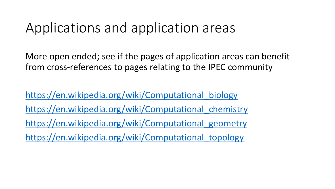#### Applications and application areas

More open ended; see if the pages of application areas can benefit from cross-references to pages relating to the IPEC community

https://en.wikipedia.org/wiki/Computational biology https://en.wikipedia.org/wiki/Computational chemistry https://en.wikipedia.org/wiki/Computational geometry [https://en.wikipedia.org/wiki/Computational\\_topology](https://en.wikipedia.org/wiki/Computational_topology)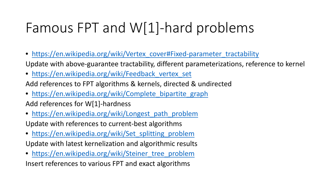# Famous FPT and W[1]-hard problems

- [https://en.wikipedia.org/wiki/Vertex\\_cover#Fixed-parameter\\_tractability](https://en.wikipedia.org/wiki/Vertex_cover#Fixed-parameter_tractability) Update with above-guarantee tractability, different parameterizations, reference to kernel
- https://en.wikipedia.org/wiki/Feedback vertex set

Add references to FPT algorithms & kernels, directed & undirected

- https://en.wikipedia.org/wiki/Complete bipartite graph Add references for W[1]-hardness
- [https://en.wikipedia.org/wiki/Longest\\_path\\_problem](https://en.wikipedia.org/wiki/Longest_path_problem) Update with references to current-best algorithms
- https://en.wikipedia.org/wiki/Set splitting problem Update with latest kernelization and algorithmic results
- https://en.wikipedia.org/wiki/Steiner tree\_problem

Insert references to various FPT and exact algorithms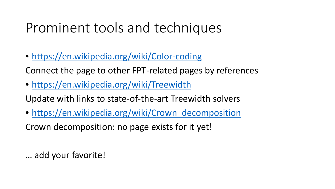### Prominent tools and techniques

• <https://en.wikipedia.org/wiki/Color-coding>

Connect the page to other FPT-related pages by references

• <https://en.wikipedia.org/wiki/Treewidth>

Update with links to state-of-the-art Treewidth solvers

• [https://en.wikipedia.org/wiki/Crown\\_decomposition](https://en.wikipedia.org/wiki/Crown_decomposition)

Crown decomposition: no page exists for it yet!

… add your favorite!